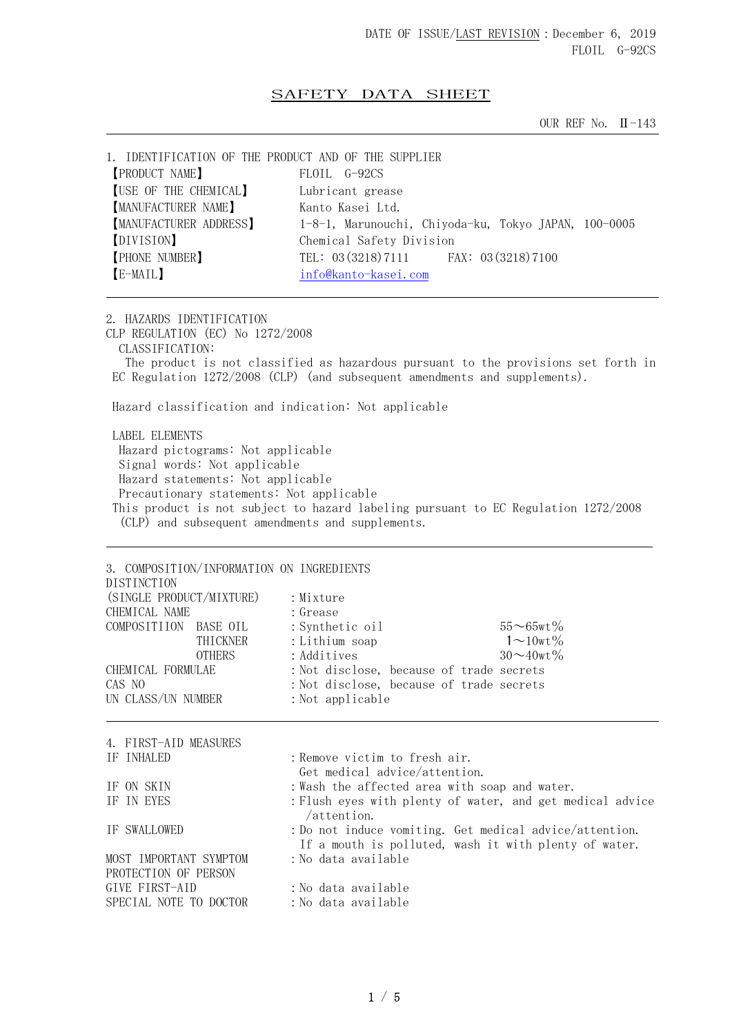## SAFETY DATA SHEET

OUR REF No. II-143

| 1. IDENTIFICATION OF THE PRODUCT AND OF THE SUPPLIER |                                                      |
|------------------------------------------------------|------------------------------------------------------|
| <b>[PRODUCT NAME]</b>                                | FLOIL G-92CS                                         |
| [USE OF THE CHEMICAL]                                | Lubricant grease                                     |
| <b>[MANUFACTURER NAME]</b>                           | Kanto Kasei Ltd.                                     |
| MANUFACTURER ADDRESS]                                | 1-8-1, Marunouchi, Chiyoda-ku, Tokyo JAPAN, 100-0005 |
| [DIVISION]                                           | Chemical Safety Division                             |
| <b>PHONE NUMBER</b>                                  | TEL: 03 (3218) 7111 FAX: 03 (3218) 7100              |
| [E-MAIL]                                             | info@kanto-kasei.com                                 |
|                                                      |                                                      |

2. HAZARDS IDENTIFICATION CLP REGULATION (EC) No 1272/2008 CLASSIFICATION: The product is not classified as hazardous pursuant to the provisions set forth in EC Regulation 1272/2008 (CLP) (and subsequent amendments and supplements). Hazard classification and indication: Not applicable

 LABEL ELEMENTS Hazard pictograms: Not applicable Signal words: Not applicable Hazard statements: Not applicable Precautionary statements: Not applicable This product is not subject to hazard labeling pursuant to EC Regulation 1272/2008 (CLP) and subsequent amendments and supplements.

| DISTINCTION                                    | 3. COMPOSITION/INFORMATION ON INGREDIENTS |                                                                                                                  |                   |
|------------------------------------------------|-------------------------------------------|------------------------------------------------------------------------------------------------------------------|-------------------|
| (SINGLE PRODUCT/MIXTURE)                       |                                           | : Mixture                                                                                                        |                   |
| CHEMICAL NAME                                  |                                           | : Grease                                                                                                         |                   |
| COMPOSITIION BASE OIL                          |                                           | : Synthetic oil                                                                                                  | $55 - 65$ wt%     |
|                                                | THICKNER                                  | : Lithium soap                                                                                                   | $1\sim10$ wt $\%$ |
|                                                | <b>OTHERS</b>                             | : Additives                                                                                                      | $30 \sim 40$ wt%  |
| CHEMICAL FORMULAE                              |                                           | : Not disclose, because of trade secrets                                                                         |                   |
| CAS NO                                         |                                           | : Not disclose, because of trade secrets                                                                         |                   |
| UN CLASS/UN NUMBER                             |                                           | : Not applicable                                                                                                 |                   |
|                                                |                                           |                                                                                                                  |                   |
| 4. FIRST-AID MEASURES                          |                                           |                                                                                                                  |                   |
| IF INHALED                                     |                                           | : Remove victim to fresh air.                                                                                    |                   |
|                                                |                                           | Get medical advice/attention.                                                                                    |                   |
| IF ON SKIN                                     |                                           | : Wash the affected area with soap and water.                                                                    |                   |
| IF IN EYES                                     |                                           | : Flush eyes with plenty of water, and get medical advice<br>/attention.                                         |                   |
| IF SWALLOWED                                   |                                           | : Do not induce vomiting. Get medical advice/attention.<br>If a mouth is polluted, wash it with plenty of water. |                   |
| MOST IMPORTANT SYMPTOM<br>PROTECTION OF PERSON |                                           | :No data available                                                                                               |                   |
| GIVE FIRST-AID                                 |                                           | : No data available                                                                                              |                   |
| SPECIAL NOTE TO DOCTOR                         |                                           | :No data available                                                                                               |                   |
|                                                |                                           |                                                                                                                  |                   |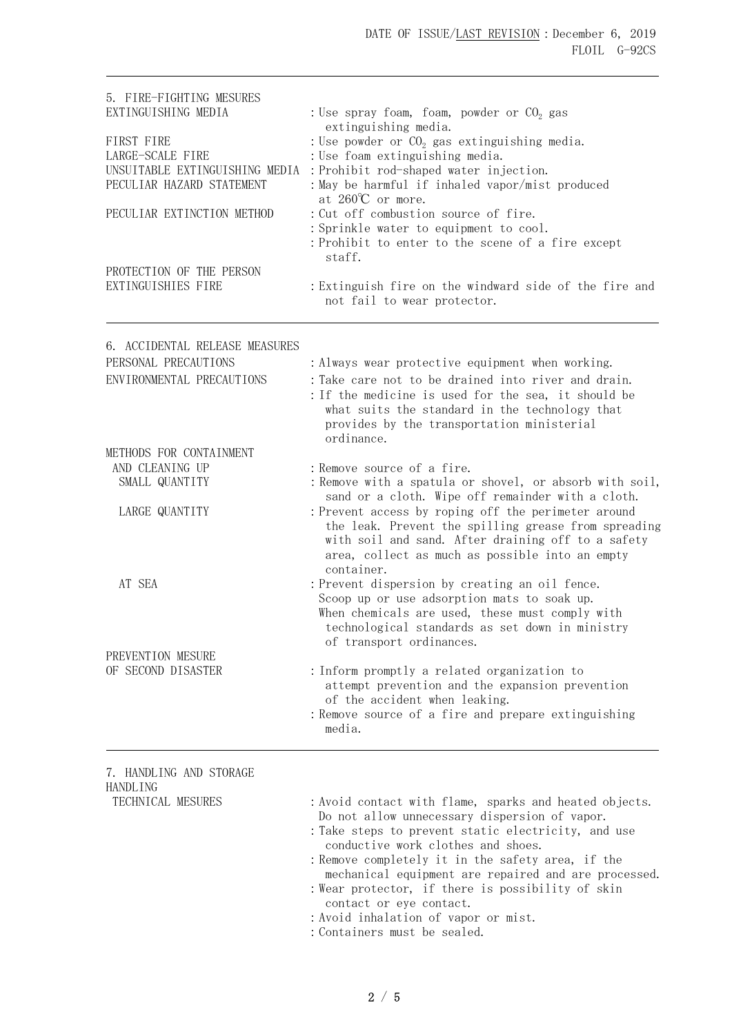| 5. FIRE-FIGHTING MESURES                                    |                                                                                                                       |  |  |
|-------------------------------------------------------------|-----------------------------------------------------------------------------------------------------------------------|--|--|
| EXTINGUISHING MEDIA                                         | : Use spray foam, foam, powder or $CO2$ gas<br>extinguishing media.<br>: Use powder or $CO2$ gas extinguishing media. |  |  |
| FIRST FIRE                                                  |                                                                                                                       |  |  |
| LARGE-SCALE FIRE                                            | : Use foam extinguishing media.                                                                                       |  |  |
| UNSUITABLE EXTINGUISHING MEDIA<br>PECULIAR HAZARD STATEMENT | : Prohibit rod-shaped water injection.<br>: May be harmful if inhaled vapor/mist produced                             |  |  |
|                                                             | at $260^{\circ}$ or more.                                                                                             |  |  |
| PECULIAR EXTINCTION METHOD                                  | : Cut off combustion source of fire.                                                                                  |  |  |
|                                                             | : Sprinkle water to equipment to cool.                                                                                |  |  |
|                                                             | : Prohibit to enter to the scene of a fire except<br>staff.                                                           |  |  |
| PROTECTION OF THE PERSON                                    |                                                                                                                       |  |  |
| EXTINGUISHIES FIRE                                          | : Extinguish fire on the windward side of the fire and                                                                |  |  |
|                                                             | not fail to wear protector.                                                                                           |  |  |
| 6. ACCIDENTAL RELEASE MEASURES                              |                                                                                                                       |  |  |
| PERSONAL PRECAUTIONS                                        | : Always wear protective equipment when working.                                                                      |  |  |
| ENVIRONMENTAL PRECAUTIONS                                   | : Take care not to be drained into river and drain.                                                                   |  |  |
|                                                             | : If the medicine is used for the sea, it should be                                                                   |  |  |
|                                                             | what suits the standard in the technology that<br>provides by the transportation ministerial                          |  |  |
|                                                             | ordinance.                                                                                                            |  |  |
| METHODS FOR CONTAINMENT                                     |                                                                                                                       |  |  |
| AND CLEANING UP                                             | : Remove source of a fire.                                                                                            |  |  |
| SMALL QUANTITY                                              | : Remove with a spatula or shovel, or absorb with soil,<br>sand or a cloth. Wipe off remainder with a cloth.          |  |  |
| LARGE QUANTITY                                              | : Prevent access by roping off the perimeter around                                                                   |  |  |
|                                                             | the leak. Prevent the spilling grease from spreading                                                                  |  |  |
|                                                             | with soil and sand. After draining off to a safety                                                                    |  |  |
|                                                             | area, collect as much as possible into an empty<br>container.                                                         |  |  |
| AT SEA                                                      | : Prevent dispersion by creating an oil fence.                                                                        |  |  |
|                                                             | Scoop up or use adsorption mats to soak up.                                                                           |  |  |
|                                                             | When chemicals are used, these must comply with                                                                       |  |  |
|                                                             | technological standards as set down in ministry<br>of transport ordinances.                                           |  |  |
| PREVENTION MESURE                                           |                                                                                                                       |  |  |
| OF SECOND DISASTER                                          | : Inform promptly a related organization to                                                                           |  |  |
|                                                             | attempt prevention and the expansion prevention<br>of the accident when leaking.                                      |  |  |
|                                                             | : Remove source of a fire and prepare extinguishing                                                                   |  |  |
|                                                             | media.                                                                                                                |  |  |
| 7. HANDLING AND STORAGE                                     |                                                                                                                       |  |  |
| <b>HANDLING</b>                                             |                                                                                                                       |  |  |
| TECHNICAL MESURES                                           | : Avoid contact with flame, sparks and heated objects.                                                                |  |  |
|                                                             | Do not allow unnecessary dispersion of vapor.                                                                         |  |  |
|                                                             | : Take steps to prevent static electricity, and use<br>conductive work clothes and shoes.                             |  |  |
|                                                             | : Remove completely it in the safety area, if the                                                                     |  |  |
|                                                             | mechanical equipment are repaired and are processed.                                                                  |  |  |
|                                                             | : Wear protector, if there is possibility of skin                                                                     |  |  |

contact or eye contact.

:Avoid inhalation of vapor or mist.

:Containers must be sealed.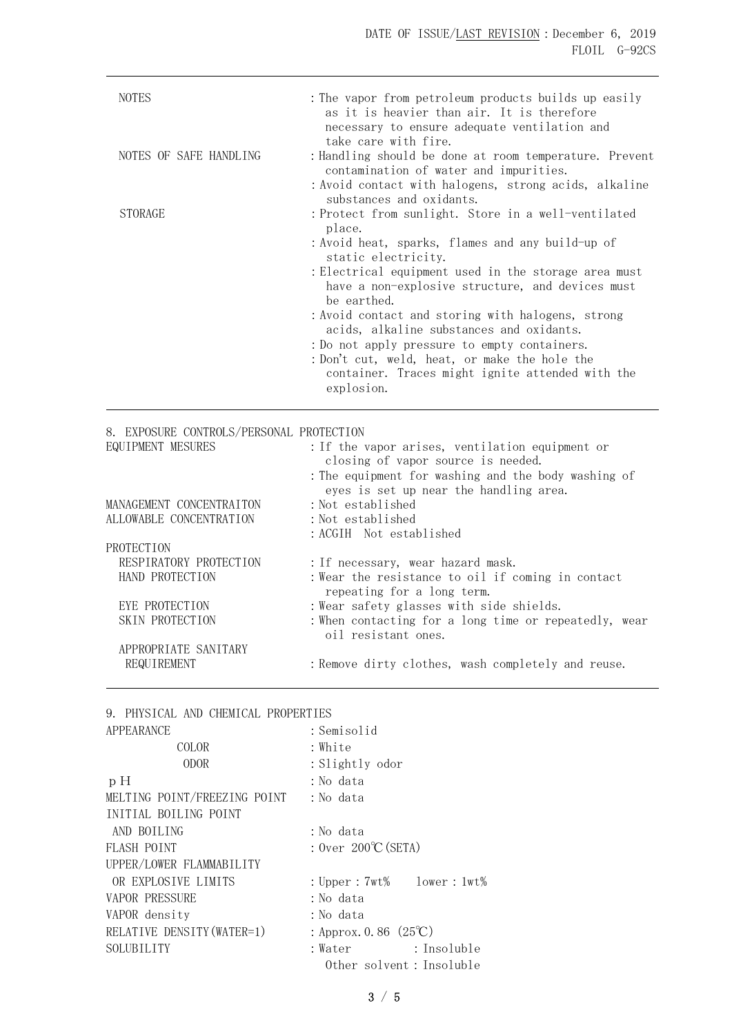| <b>NOTES</b>           | : The vapor from petroleum products builds up easily<br>as it is heavier than air. It is therefore<br>necessary to ensure adequate ventilation and<br>take care with fire.                                                                                                                                                                                                                                                                                                                                                             |
|------------------------|----------------------------------------------------------------------------------------------------------------------------------------------------------------------------------------------------------------------------------------------------------------------------------------------------------------------------------------------------------------------------------------------------------------------------------------------------------------------------------------------------------------------------------------|
| NOTES OF SAFE HANDLING | : Handling should be done at room temperature. Prevent<br>contamination of water and impurities.<br>:Avoid contact with halogens, strong acids, alkaline<br>substances and oxidants.                                                                                                                                                                                                                                                                                                                                                   |
| <b>STORAGE</b>         | : Protect from sunlight. Store in a well-ventilated<br>place.<br>:Avoid heat, sparks, flames and any build-up of<br>static electricity.<br>: Electrical equipment used in the storage area must<br>have a non-explosive structure, and devices must<br>be earthed.<br>: Avoid contact and storing with halogens, strong<br>acids, alkaline substances and oxidants.<br>: Do not apply pressure to empty containers.<br>: Don't cut, weld, heat, or make the hole the<br>container. Traces might ignite attended with the<br>explosion. |

8. EXPOSURE CONTROLS/PERSONAL PROTECTION EQUIPMENT MESURES :If the vapor arises, ventilation equipment or closing of vapor source is needed. :The equipment for washing and the body washing of eyes is set up near the handling area. MANAGEMENT CONCENTRAITON : Not established ALLOWABLE CONCENTRATION : Not established :ACGIH Not established PROTECTION RESPIRATORY PROTECTION : If necessary, wear hazard mask. HAND PROTECTION : Wear the resistance to oil if coming in contact repeating for a long term. EYE PROTECTION : Wear safety glasses with side shields. SKIN PROTECTION : When contacting for a long time or repeatedly, wear oil resistant ones. APPROPRIATE SANITARY REQUIREMENT : Remove dirty clothes, wash completely and reuse.

9. PHYSICAL AND CHEMICAL PROPERTIES

| APPEARANCE                   | : Semisolid                           |             |
|------------------------------|---------------------------------------|-------------|
| COLOR                        | : White                               |             |
| <b>ODOR</b>                  | : Slightly odor                       |             |
| pH                           | : No data                             |             |
| MELTING POINT/FREEZING POINT | : No data                             |             |
| INITIAL BOILING POINT        |                                       |             |
| AND BOILING                  | : No data                             |             |
| <b>FLASH POINT</b>           | : $0ver$ $200^{\circ}C(SETA)$         |             |
| UPPER/LOWER FLAMMABILITY     |                                       |             |
| OR EXPLOSIVE LIMITS          | : $Upper : 7wt\%$ lower : $1wt\%$     |             |
| <b>VAPOR PRESSURE</b>        | : No data                             |             |
| VAPOR density                | : No data                             |             |
| RELATIVE DENSITY (WATER=1)   | : Approx. 0.86 $(25^{\circ}\text{C})$ |             |
| SOLUBILITY                   | : Water                               | : Insoluble |
|                              | Other solvent: Insoluble              |             |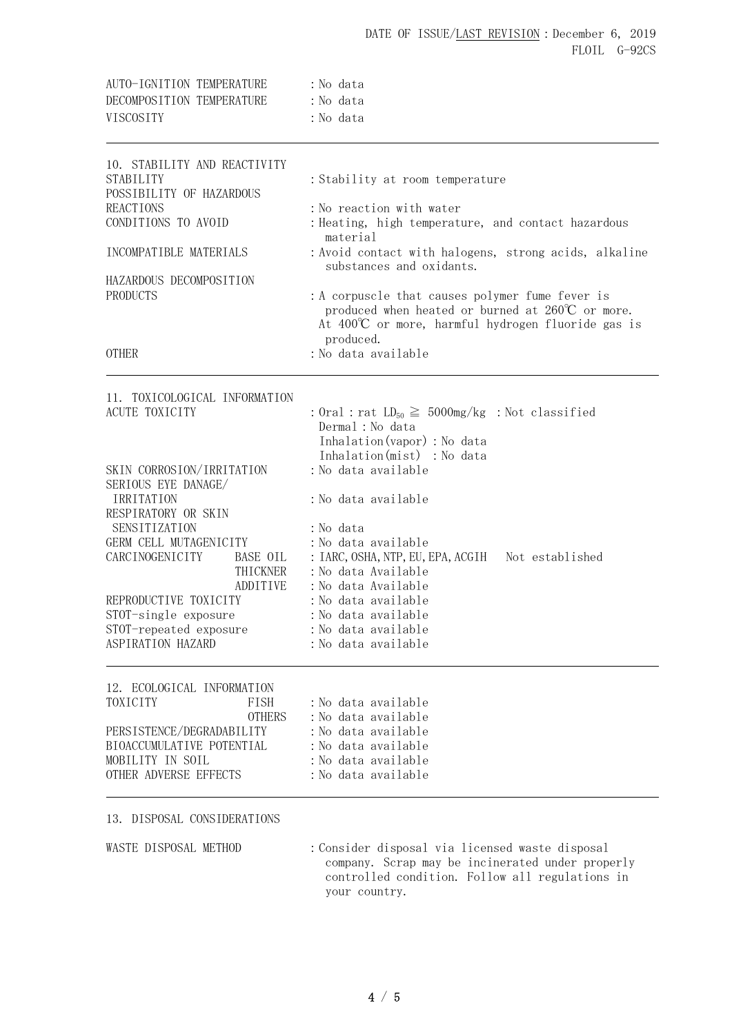| AUTO-IGNITION TEMPERATURE |  | : No data |
|---------------------------|--|-----------|
| DECOMPOSITION TEMPERATURE |  | : No data |
| <b>VISCOSTTY</b>          |  | : No data |

| 10. STABILITY AND REACTIVITY<br>STABILITY<br>POSSIBILITY OF HAZARDOUS<br><b>REACTIONS</b><br>CONDITIONS TO AVOID<br>INCOMPATIBLE MATERIALS<br>HAZARDOUS DECOMPOSITION<br><b>PRODUCTS</b><br><b>OTHER</b> | :Stability at room temperature<br>:No reaction with water<br>: Heating, high temperature, and contact hazardous<br>material<br>: Avoid contact with halogens, strong acids, alkaline<br>substances and oxidants.<br>: A corpuscle that causes polymer fume fever is<br>produced when heated or burned at 260°C or more.<br>At $400^{\circ}$ or more, harmful hydrogen fluoride gas is<br>produced.<br>: No data available |
|----------------------------------------------------------------------------------------------------------------------------------------------------------------------------------------------------------|---------------------------------------------------------------------------------------------------------------------------------------------------------------------------------------------------------------------------------------------------------------------------------------------------------------------------------------------------------------------------------------------------------------------------|
| 11. TOXICOLOGICAL INFORMATION                                                                                                                                                                            |                                                                                                                                                                                                                                                                                                                                                                                                                           |
| ACUTE TOXICITY                                                                                                                                                                                           | : Oral : rat $LD_{50} \ge 5000$ mg/kg : Not classified<br>Dermal : No data<br>Inhalation (vapor) : No data<br>Inhalation(mist) : No data                                                                                                                                                                                                                                                                                  |
| SKIN CORROSION/IRRITATION                                                                                                                                                                                | :No data available                                                                                                                                                                                                                                                                                                                                                                                                        |
| SERIOUS EYE DANAGE/<br>IRRITATION                                                                                                                                                                        | :No data available                                                                                                                                                                                                                                                                                                                                                                                                        |
| RESPIRATORY OR SKIN                                                                                                                                                                                      |                                                                                                                                                                                                                                                                                                                                                                                                                           |
| SENSITIZATION<br>GERM CELL MUTAGENICITY                                                                                                                                                                  | :No data<br>: No data available                                                                                                                                                                                                                                                                                                                                                                                           |
| CARCINOGENICITY<br>BASE OIL                                                                                                                                                                              | : IARC, OSHA, NTP, EU, EPA, ACGIH<br>Not established                                                                                                                                                                                                                                                                                                                                                                      |
| THICKNER                                                                                                                                                                                                 | :No data Available                                                                                                                                                                                                                                                                                                                                                                                                        |
| ADDITIVE                                                                                                                                                                                                 | : No data Available                                                                                                                                                                                                                                                                                                                                                                                                       |
| REPRODUCTIVE TOXICITY                                                                                                                                                                                    | :No data available                                                                                                                                                                                                                                                                                                                                                                                                        |
| STOT-single exposure<br>STOT-repeated exposure                                                                                                                                                           | : No data available<br>:No data available                                                                                                                                                                                                                                                                                                                                                                                 |
| ASPIRATION HAZARD                                                                                                                                                                                        | :No data available                                                                                                                                                                                                                                                                                                                                                                                                        |
| 12. ECOLOGICAL INFORMATION                                                                                                                                                                               |                                                                                                                                                                                                                                                                                                                                                                                                                           |
| TOXICITY<br>FISH                                                                                                                                                                                         | :No data available                                                                                                                                                                                                                                                                                                                                                                                                        |
| <b>OTHERS</b><br>PERSISTENCE/DEGRADABILITY                                                                                                                                                               | :No data available<br>:No data available                                                                                                                                                                                                                                                                                                                                                                                  |
| BIOACCUMULATIVE POTENTIAL                                                                                                                                                                                | :No data available                                                                                                                                                                                                                                                                                                                                                                                                        |
| MOBILITY IN SOIL                                                                                                                                                                                         | : No data available                                                                                                                                                                                                                                                                                                                                                                                                       |
| OTHER ADVERSE EFFECTS                                                                                                                                                                                    | :No data available                                                                                                                                                                                                                                                                                                                                                                                                        |

13. DISPOSAL CONSIDERATIONS

WASTE DISPOSAL METHOD : Consider disposal via licensed waste disposal company. Scrap may be incinerated under properly controlled condition. Follow all regulations in your country.